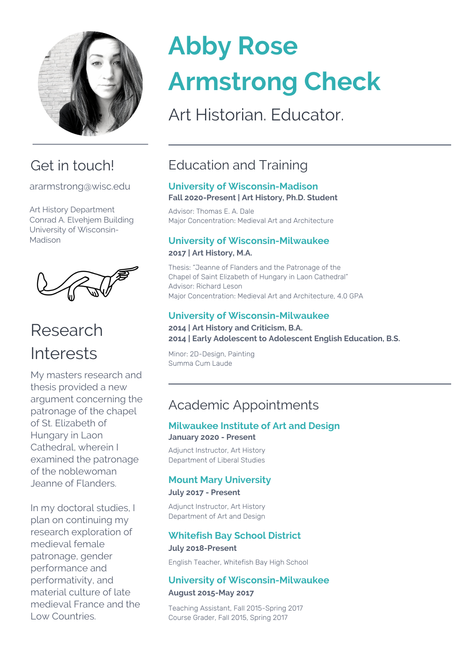

# Get in touch!

ararmstrong@wisc.edu

Art History Department Conrad A. Elvehjem Building University of Wisconsin-Madison



# Research Interests

My masters research and thesis provided a new argument concerning the patronage of the chapel of St. Elizabeth of Hungary in Laon Cathedral, wherein I examined the patronage of the noblewoman Jeanne of Flanders.

In my doctoral studies, I plan on continuing my research exploration of medieval female patronage, gender performance and performativity, and material culture of late medieval France and the Low Countries.

# **Abby Rose Armstrong Check**

Art Historian. Educator.

# Education and Training

### **University of Wisconsin-Madison Fall 2020-Present | Art History, Ph.D. Student**

Advisor: Thomas E. A. Dale Major Concentration: Medieval Art and Architecture

# **University of Wisconsin-Milwaukee 2017 | Art History, M.A.**

Thesis: "Jeanne of Flanders and the Patronage of the Chapel of Saint Elizabeth of Hungary in Laon Cathedral" Advisor: Richard Leson Major Concentration: Medieval Art and Architecture, 4.0 GPA

# **University of Wisconsin-Milwaukee**

#### **2014 | Art History and Criticism, B.A. 2014 | Early Adolescent to Adolescent English Education, B.S.**

Minor: 2D-Design, Painting Summa Cum Laude

# Academic Appointments

### **Milwaukee Institute of Art and Design January 2020 - Present**

Adjunct Instructor, Art History Department of Liberal Studies

# **Mount Mary University**

### **July 2017 - Present**

Adjunct Instructor, Art History Department of Art and Design

# **Whitefish Bay School District**

### **July 2018-Present**

English Teacher, Whitefish Bay High School

# **University of Wisconsin-Milwaukee**

### **August 2015-May 2017**

Teaching Assistant, Fall 2015-Spring 2017 Course Grader, Fall 2015, Spring 2017